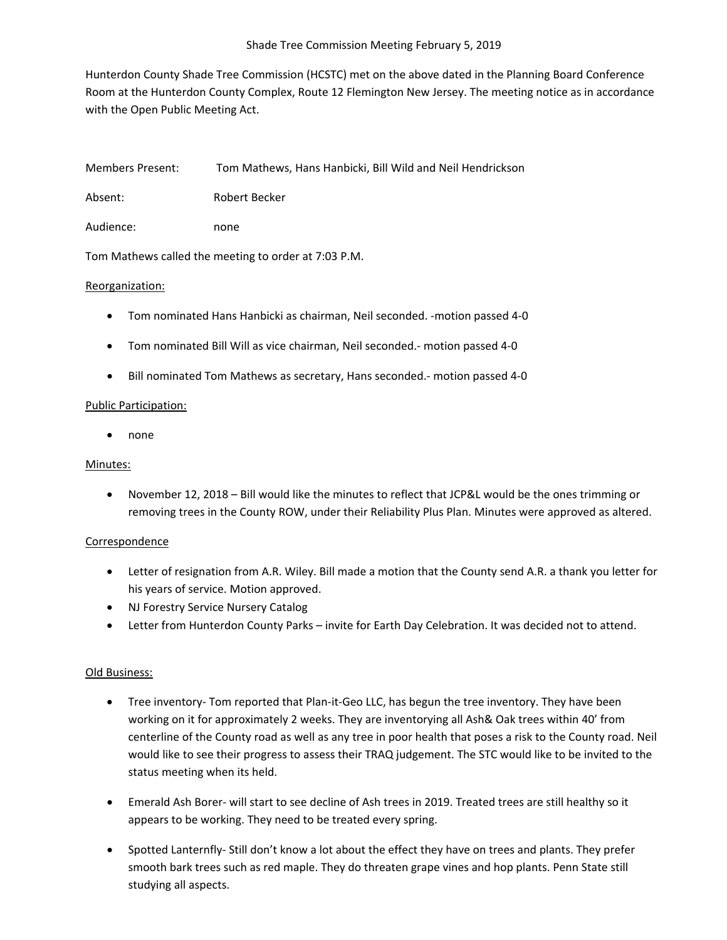Hunterdon County Shade Tree Commission (HCSTC) met on the above dated in the Planning Board Conference Room at the Hunterdon County Complex, Route 12 Flemington New Jersey. The meeting notice as in accordance with the Open Public Meeting Act.

| Members Present: |  | Tom Mathews, Hans Hanbicki, Bill Wild and Neil Hendrickson |
|------------------|--|------------------------------------------------------------|
|                  |  |                                                            |

Absent: Robert Becker

Audience: none

Tom Mathews called the meeting to order at 7:03 P.M.

## Reorganization:

- Tom nominated Hans Hanbicki as chairman, Neil seconded. -motion passed 4-0
- Tom nominated Bill Will as vice chairman, Neil seconded.- motion passed 4-0
- Bill nominated Tom Mathews as secretary, Hans seconded.- motion passed 4-0

## Public Participation:

• none

#### Minutes:

• November 12, 2018 – Bill would like the minutes to reflect that JCP&L would be the ones trimming or removing trees in the County ROW, under their Reliability Plus Plan. Minutes were approved as altered.

# Correspondence

- Letter of resignation from A.R. Wiley. Bill made a motion that the County send A.R. a thank you letter for his years of service. Motion approved.
- NJ Forestry Service Nursery Catalog
- Letter from Hunterdon County Parks invite for Earth Day Celebration. It was decided not to attend.

# Old Business:

- Tree inventory- Tom reported that Plan-it-Geo LLC, has begun the tree inventory. They have been working on it for approximately 2 weeks. They are inventorying all Ash& Oak trees within 40' from centerline of the County road as well as any tree in poor health that poses a risk to the County road. Neil would like to see their progress to assess their TRAQ judgement. The STC would like to be invited to the status meeting when its held.
- Emerald Ash Borer- will start to see decline of Ash trees in 2019. Treated trees are still healthy so it appears to be working. They need to be treated every spring.
- Spotted Lanternfly- Still don't know a lot about the effect they have on trees and plants. They prefer smooth bark trees such as red maple. They do threaten grape vines and hop plants. Penn State still studying all aspects.